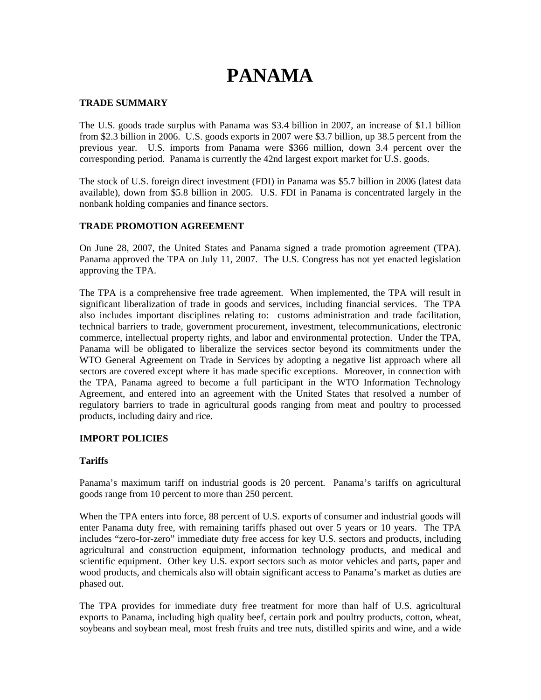# **PANAMA**

#### **TRADE SUMMARY**

The U.S. goods trade surplus with Panama was \$3.4 billion in 2007, an increase of \$1.1 billion from \$2.3 billion in 2006. U.S. goods exports in 2007 were \$3.7 billion, up 38.5 percent from the previous year. U.S. imports from Panama were \$366 million, down 3.4 percent over the corresponding period. Panama is currently the 42nd largest export market for U.S. goods.

The stock of U.S. foreign direct investment (FDI) in Panama was \$5.7 billion in 2006 (latest data available), down from \$5.8 billion in 2005. U.S. FDI in Panama is concentrated largely in the nonbank holding companies and finance sectors.

## **TRADE PROMOTION AGREEMENT**

On June 28, 2007, the United States and Panama signed a trade promotion agreement (TPA). Panama approved the TPA on July 11, 2007. The U.S. Congress has not yet enacted legislation approving the TPA.

The TPA is a comprehensive free trade agreement. When implemented, the TPA will result in significant liberalization of trade in goods and services, including financial services. The TPA also includes important disciplines relating to: customs administration and trade facilitation, technical barriers to trade, government procurement, investment, telecommunications, electronic commerce, intellectual property rights, and labor and environmental protection. Under the TPA, Panama will be obligated to liberalize the services sector beyond its commitments under the WTO General Agreement on Trade in Services by adopting a negative list approach where all sectors are covered except where it has made specific exceptions. Moreover, in connection with the TPA, Panama agreed to become a full participant in the WTO Information Technology Agreement, and entered into an agreement with the United States that resolved a number of regulatory barriers to trade in agricultural goods ranging from meat and poultry to processed products, including dairy and rice.

## **IMPORT POLICIES**

## **Tariffs**

Panama's maximum tariff on industrial goods is 20 percent. Panama's tariffs on agricultural goods range from 10 percent to more than 250 percent.

When the TPA enters into force, 88 percent of U.S. exports of consumer and industrial goods will enter Panama duty free, with remaining tariffs phased out over 5 years or 10 years. The TPA includes "zero-for-zero" immediate duty free access for key U.S. sectors and products, including agricultural and construction equipment, information technology products, and medical and scientific equipment. Other key U.S. export sectors such as motor vehicles and parts, paper and wood products, and chemicals also will obtain significant access to Panama's market as duties are phased out.

The TPA provides for immediate duty free treatment for more than half of U.S. agricultural exports to Panama, including high quality beef, certain pork and poultry products, cotton, wheat, soybeans and soybean meal, most fresh fruits and tree nuts, distilled spirits and wine, and a wide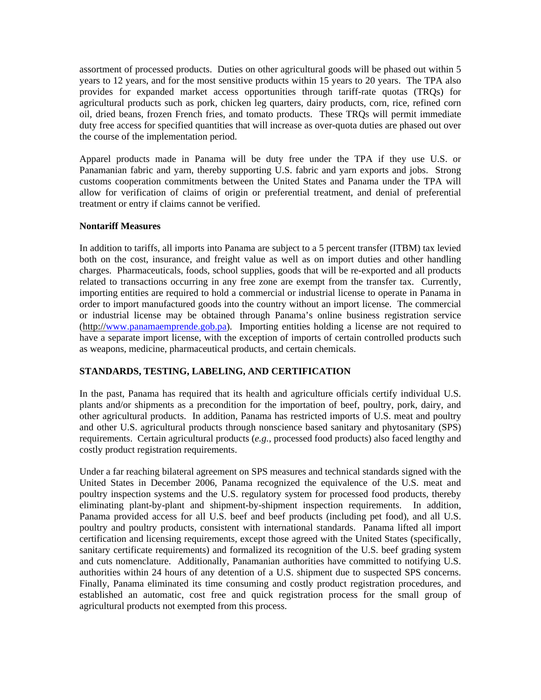assortment of processed products. Duties on other agricultural goods will be phased out within 5 years to 12 years, and for the most sensitive products within 15 years to 20 years. The TPA also provides for expanded market access opportunities through tariff-rate quotas (TRQs) for agricultural products such as pork, chicken leg quarters, dairy products, corn, rice, refined corn oil, dried beans, frozen French fries, and tomato products. These TRQs will permit immediate duty free access for specified quantities that will increase as over-quota duties are phased out over the course of the implementation period.

Apparel products made in Panama will be duty free under the TPA if they use U.S. or Panamanian fabric and yarn, thereby supporting U.S. fabric and yarn exports and jobs. Strong customs cooperation commitments between the United States and Panama under the TPA will allow for verification of claims of origin or preferential treatment, and denial of preferential treatment or entry if claims cannot be verified.

## **Nontariff Measures**

In addition to tariffs, all imports into Panama are subject to a 5 percent transfer (ITBM) tax levied both on the cost, insurance, and freight value as well as on import duties and other handling charges. Pharmaceuticals, foods, school supplies, goods that will be re-exported and all products related to transactions occurring in any free zone are exempt from the transfer tax. Currently, importing entities are required to hold a commercial or industrial license to operate in Panama in order to import manufactured goods into the country without an import license. The commercial or industrial license may be obtained through Panama's online business registration service (http://[www.panamaemprende.gob.pa\)](http://www.panamaemprende.gob.pa/). Importing entities holding a license are not required to have a separate import license, with the exception of imports of certain controlled products such as weapons, medicine, pharmaceutical products, and certain chemicals.

# **STANDARDS, TESTING, LABELING, AND CERTIFICATION**

In the past, Panama has required that its health and agriculture officials certify individual U.S. plants and/or shipments as a precondition for the importation of beef, poultry, pork, dairy, and other agricultural products. In addition, Panama has restricted imports of U.S. meat and poultry and other U.S. agricultural products through nonscience based sanitary and phytosanitary (SPS) requirements. Certain agricultural products (*e.g.*, processed food products) also faced lengthy and costly product registration requirements.

Under a far reaching bilateral agreement on SPS measures and technical standards signed with the United States in December 2006, Panama recognized the equivalence of the U.S. meat and poultry inspection systems and the U.S. regulatory system for processed food products, thereby eliminating plant-by-plant and shipment-by-shipment inspection requirements. In addition, Panama provided access for all U.S. beef and beef products (including pet food), and all U.S. poultry and poultry products, consistent with international standards. Panama lifted all import certification and licensing requirements, except those agreed with the United States (specifically, sanitary certificate requirements) and formalized its recognition of the U.S. beef grading system and cuts nomenclature. Additionally, Panamanian authorities have committed to notifying U.S. authorities within 24 hours of any detention of a U.S. shipment due to suspected SPS concerns. Finally, Panama eliminated its time consuming and costly product registration procedures, and established an automatic, cost free and quick registration process for the small group of agricultural products not exempted from this process.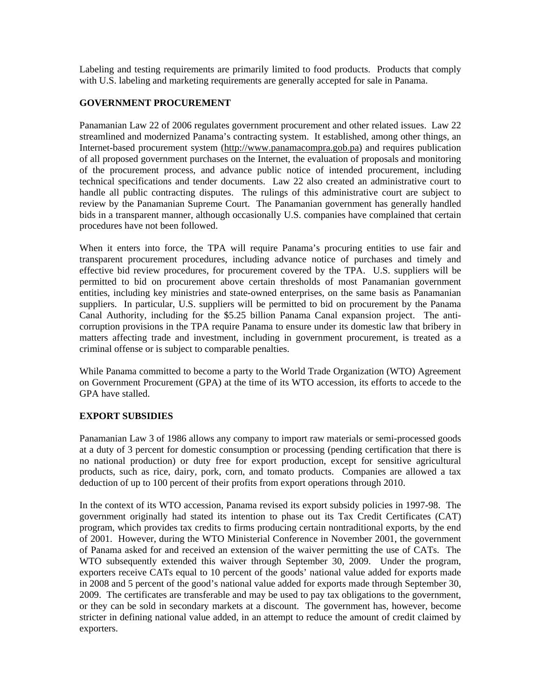Labeling and testing requirements are primarily limited to food products. Products that comply with U.S. labeling and marketing requirements are generally accepted for sale in Panama.

## **GOVERNMENT PROCUREMENT**

Panamanian Law 22 of 2006 regulates government procurement and other related issues. Law 22 streamlined and modernized Panama's contracting system. It established, among other things, an Internet-based procurement system (http://www.panamacompra.gob.pa) and requires publication of all proposed government purchases on the Internet, the evaluation of proposals and monitoring of the procurement process, and advance public notice of intended procurement, including technical specifications and tender documents. Law 22 also created an administrative court to handle all public contracting disputes. The rulings of this administrative court are subject to review by the Panamanian Supreme Court. The Panamanian government has generally handled bids in a transparent manner, although occasionally U.S. companies have complained that certain procedures have not been followed.

When it enters into force, the TPA will require Panama's procuring entities to use fair and transparent procurement procedures, including advance notice of purchases and timely and effective bid review procedures, for procurement covered by the TPA. U.S. suppliers will be permitted to bid on procurement above certain thresholds of most Panamanian government entities, including key ministries and state-owned enterprises, on the same basis as Panamanian suppliers. In particular, U.S. suppliers will be permitted to bid on procurement by the Panama Canal Authority, including for the \$5.25 billion Panama Canal expansion project. The anticorruption provisions in the TPA require Panama to ensure under its domestic law that bribery in matters affecting trade and investment, including in government procurement, is treated as a criminal offense or is subject to comparable penalties.

While Panama committed to become a party to the World Trade Organization (WTO) Agreement on Government Procurement (GPA) at the time of its WTO accession, its efforts to accede to the GPA have stalled.

## **EXPORT SUBSIDIES**

Panamanian Law 3 of 1986 allows any company to import raw materials or semi-processed goods at a duty of 3 percent for domestic consumption or processing (pending certification that there is no national production) or duty free for export production, except for sensitive agricultural products, such as rice, dairy, pork, corn, and tomato products. Companies are allowed a tax deduction of up to 100 percent of their profits from export operations through 2010.

In the context of its WTO accession, Panama revised its export subsidy policies in 1997-98. The government originally had stated its intention to phase out its Tax Credit Certificates (CAT) program, which provides tax credits to firms producing certain nontraditional exports, by the end of 2001. However, during the WTO Ministerial Conference in November 2001, the government of Panama asked for and received an extension of the waiver permitting the use of CATs. The WTO subsequently extended this waiver through September 30, 2009. Under the program, exporters receive CATs equal to 10 percent of the goods' national value added for exports made in 2008 and 5 percent of the good's national value added for exports made through September 30, 2009. The certificates are transferable and may be used to pay tax obligations to the government, or they can be sold in secondary markets at a discount. The government has, however, become stricter in defining national value added, in an attempt to reduce the amount of credit claimed by exporters.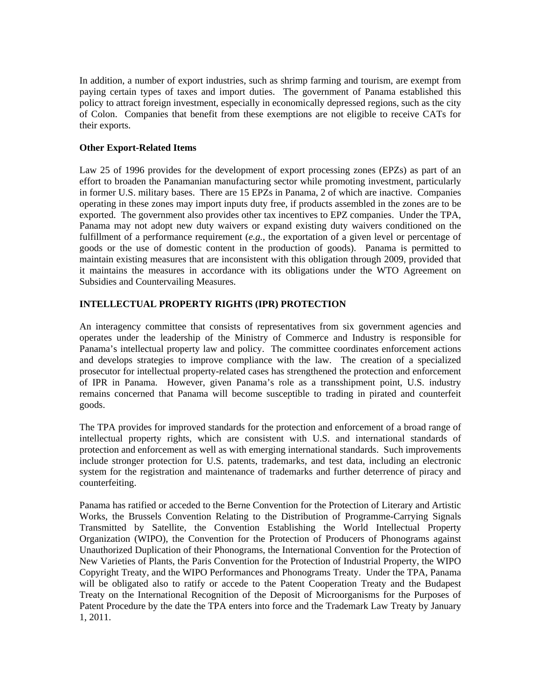In addition, a number of export industries, such as shrimp farming and tourism, are exempt from paying certain types of taxes and import duties. The government of Panama established this policy to attract foreign investment, especially in economically depressed regions, such as the city of Colon. Companies that benefit from these exemptions are not eligible to receive CATs for their exports.

## **Other Export-Related Items**

Law 25 of 1996 provides for the development of export processing zones (EPZs) as part of an effort to broaden the Panamanian manufacturing sector while promoting investment, particularly in former U.S. military bases. There are 15 EPZs in Panama, 2 of which are inactive. Companies operating in these zones may import inputs duty free, if products assembled in the zones are to be exported. The government also provides other tax incentives to EPZ companies. Under the TPA, Panama may not adopt new duty waivers or expand existing duty waivers conditioned on the fulfillment of a performance requirement (*e.g.*, the exportation of a given level or percentage of goods or the use of domestic content in the production of goods). Panama is permitted to maintain existing measures that are inconsistent with this obligation through 2009, provided that it maintains the measures in accordance with its obligations under the WTO Agreement on Subsidies and Countervailing Measures.

## **INTELLECTUAL PROPERTY RIGHTS (IPR) PROTECTION**

An interagency committee that consists of representatives from six government agencies and operates under the leadership of the Ministry of Commerce and Industry is responsible for Panama's intellectual property law and policy. The committee coordinates enforcement actions and develops strategies to improve compliance with the law. The creation of a specialized prosecutor for intellectual property-related cases has strengthened the protection and enforcement of IPR in Panama. However, given Panama's role as a transshipment point, U.S. industry remains concerned that Panama will become susceptible to trading in pirated and counterfeit goods.

The TPA provides for improved standards for the protection and enforcement of a broad range of intellectual property rights, which are consistent with U.S. and international standards of protection and enforcement as well as with emerging international standards. Such improvements include stronger protection for U.S. patents, trademarks, and test data, including an electronic system for the registration and maintenance of trademarks and further deterrence of piracy and counterfeiting.

Panama has ratified or acceded to the Berne Convention for the Protection of Literary and Artistic Works, the Brussels Convention Relating to the Distribution of Programme-Carrying Signals Transmitted by Satellite, the Convention Establishing the World Intellectual Property Organization (WIPO), the Convention for the Protection of Producers of Phonograms against Unauthorized Duplication of their Phonograms, the International Convention for the Protection of New Varieties of Plants, the Paris Convention for the Protection of Industrial Property, the WIPO Copyright Treaty, and the WIPO Performances and Phonograms Treaty. Under the TPA, Panama will be obligated also to ratify or accede to the Patent Cooperation Treaty and the Budapest Treaty on the International Recognition of the Deposit of Microorganisms for the Purposes of Patent Procedure by the date the TPA enters into force and the Trademark Law Treaty by January 1, 2011.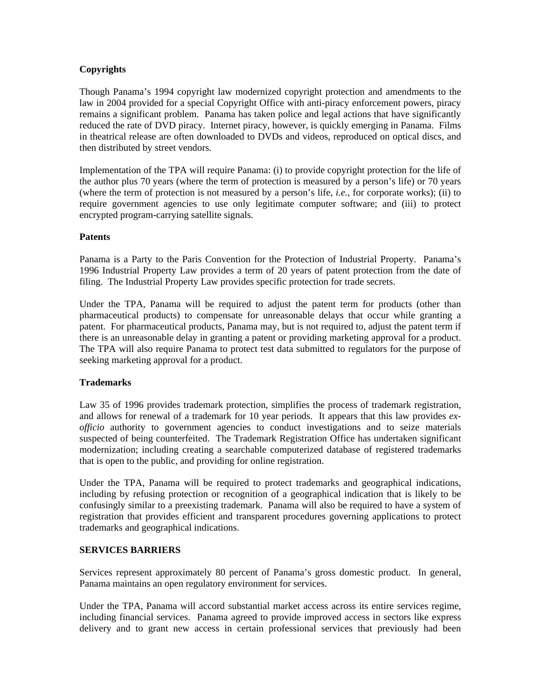## **Copyrights**

Though Panama's 1994 copyright law modernized copyright protection and amendments to the law in 2004 provided for a special Copyright Office with anti-piracy enforcement powers, piracy remains a significant problem. Panama has taken police and legal actions that have significantly reduced the rate of DVD piracy. Internet piracy, however, is quickly emerging in Panama. Films in theatrical release are often downloaded to DVDs and videos, reproduced on optical discs, and then distributed by street vendors.

Implementation of the TPA will require Panama: (i) to provide copyright protection for the life of the author plus 70 years (where the term of protection is measured by a person's life) or 70 years (where the term of protection is not measured by a person's life, *i.e.*, for corporate works); (ii) to require government agencies to use only legitimate computer software; and (iii) to protect encrypted program-carrying satellite signals.

## **Patents**

Panama is a Party to the Paris Convention for the Protection of Industrial Property. Panama's 1996 Industrial Property Law provides a term of 20 years of patent protection from the date of filing. The Industrial Property Law provides specific protection for trade secrets.

Under the TPA, Panama will be required to adjust the patent term for products (other than pharmaceutical products) to compensate for unreasonable delays that occur while granting a patent. For pharmaceutical products, Panama may, but is not required to, adjust the patent term if there is an unreasonable delay in granting a patent or providing marketing approval for a product. The TPA will also require Panama to protect test data submitted to regulators for the purpose of seeking marketing approval for a product.

## **Trademarks**

Law 35 of 1996 provides trademark protection, simplifies the process of trademark registration, and allows for renewal of a trademark for 10 year periods. It appears that this law provides *exofficio* authority to government agencies to conduct investigations and to seize materials suspected of being counterfeited. The Trademark Registration Office has undertaken significant modernization; including creating a searchable computerized database of registered trademarks that is open to the public, and providing for online registration.

Under the TPA, Panama will be required to protect trademarks and geographical indications, including by refusing protection or recognition of a geographical indication that is likely to be confusingly similar to a preexisting trademark. Panama will also be required to have a system of registration that provides efficient and transparent procedures governing applications to protect trademarks and geographical indications.

## **SERVICES BARRIERS**

Services represent approximately 80 percent of Panama's gross domestic product. In general, Panama maintains an open regulatory environment for services.

Under the TPA, Panama will accord substantial market access across its entire services regime, including financial services. Panama agreed to provide improved access in sectors like express delivery and to grant new access in certain professional services that previously had been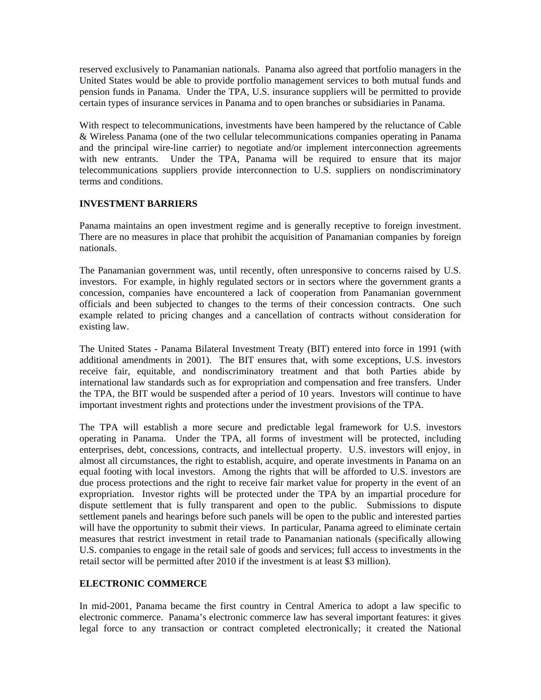reserved exclusively to Panamanian nationals. Panama also agreed that portfolio managers in the United States would be able to provide portfolio management services to both mutual funds and pension funds in Panama. Under the TPA, U.S. insurance suppliers will be permitted to provide certain types of insurance services in Panama and to open branches or subsidiaries in Panama.

With respect to telecommunications, investments have been hampered by the reluctance of Cable & Wireless Panama (one of the two cellular telecommunications companies operating in Panama and the principal wire-line carrier) to negotiate and/or implement interconnection agreements with new entrants. Under the TPA, Panama will be required to ensure that its major telecommunications suppliers provide interconnection to U.S. suppliers on nondiscriminatory terms and conditions.

## **INVESTMENT BARRIERS**

Panama maintains an open investment regime and is generally receptive to foreign investment. There are no measures in place that prohibit the acquisition of Panamanian companies by foreign nationals.

The Panamanian government was, until recently, often unresponsive to concerns raised by U.S. investors. For example, in highly regulated sectors or in sectors where the government grants a concession, companies have encountered a lack of cooperation from Panamanian government officials and been subjected to changes to the terms of their concession contracts. One such example related to pricing changes and a cancellation of contracts without consideration for existing law.

The United States - Panama Bilateral Investment Treaty (BIT) entered into force in 1991 (with additional amendments in 2001). The BIT ensures that, with some exceptions, U.S. investors receive fair, equitable, and nondiscriminatory treatment and that both Parties abide by international law standards such as for expropriation and compensation and free transfers. Under the TPA, the BIT would be suspended after a period of 10 years. Investors will continue to have important investment rights and protections under the investment provisions of the TPA.

The TPA will establish a more secure and predictable legal framework for U.S. investors operating in Panama. Under the TPA, all forms of investment will be protected, including enterprises, debt, concessions, contracts, and intellectual property. U.S. investors will enjoy, in almost all circumstances, the right to establish, acquire, and operate investments in Panama on an equal footing with local investors. Among the rights that will be afforded to U.S. investors are due process protections and the right to receive fair market value for property in the event of an expropriation. Investor rights will be protected under the TPA by an impartial procedure for dispute settlement that is fully transparent and open to the public. Submissions to dispute settlement panels and hearings before such panels will be open to the public and interested parties will have the opportunity to submit their views. In particular, Panama agreed to eliminate certain measures that restrict investment in retail trade to Panamanian nationals (specifically allowing U.S. companies to engage in the retail sale of goods and services; full access to investments in the retail sector will be permitted after 2010 if the investment is at least \$3 million).

# **ELECTRONIC COMMERCE**

In mid-2001, Panama became the first country in Central America to adopt a law specific to electronic commerce. Panama's electronic commerce law has several important features: it gives legal force to any transaction or contract completed electronically; it created the National